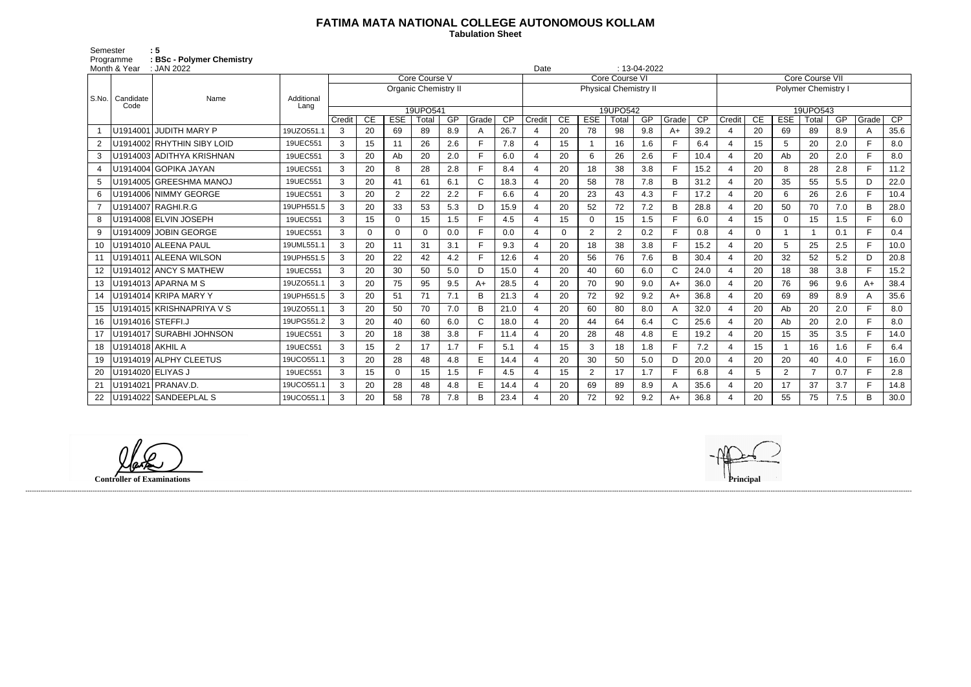## **FATIMA MATA NATIONAL COLLEGE AUTONOMOUS KOLLAM**

 **Tabulation Sheet** 

Semester : 5 Programme **: BSc - Polymer Chemistry**

| Month & Year<br>: JAN 2022 |                           |                            |                    |                             |          |                |          |     | $: 13-04-2022$<br>Date |                              |                |              |                |                |     |              |                   |                       |          |            |                |     |       |        |
|----------------------------|---------------------------|----------------------------|--------------------|-----------------------------|----------|----------------|----------|-----|------------------------|------------------------------|----------------|--------------|----------------|----------------|-----|--------------|-------------------|-----------------------|----------|------------|----------------|-----|-------|--------|
|                            |                           | Name                       |                    | Core Course V               |          |                |          |     |                        | Core Course VI               |                |              |                |                |     |              | Core Course VII   |                       |          |            |                |     |       |        |
|                            |                           |                            |                    | <b>Organic Chemistry II</b> |          |                |          |     |                        | <b>Physical Chemistry II</b> |                |              |                |                |     |              | Polymer Chemistry |                       |          |            |                |     |       |        |
|                            | S.No.   Candidate<br>Code |                            | Additional<br>Lang |                             |          |                |          |     |                        |                              |                |              |                |                |     |              |                   |                       |          |            |                |     |       |        |
|                            |                           |                            |                    | 19UPO541                    |          |                |          |     | 19UPO542               |                              |                |              |                |                |     | 19UPO543     |                   |                       |          |            |                |     |       |        |
|                            |                           |                            |                    | Credit                      | CE       | <b>ESE</b>     | Total    | GP  | Grade                  | $\overline{CP}$              | Credit         | CE           | <b>ESE</b>     | Total          | GP  | Grade        | CP                | Credit                | CE       | <b>ESE</b> | Total          | GP  | Grade | CP     |
|                            |                           | U1914001 JUDITH MARY P     | 19UZO551.1         | 3                           | 20       | 69             | 89       | 8.9 | A                      | 26.7                         |                | 20           | 78             | 98             | 9.8 | $A+$         | 39.2              | $\overline{4}$        | 20       | 69         | 89             | 8.9 | A     | 35.6   |
| $\overline{2}$             |                           | U1914002 RHYTHIN SIBY LOID | 19UEC551           | 3                           | 15       | 11             | 26       | 2.6 |                        | 7.8                          |                | 15           |                | 16             | 1.6 | F            | 6.4               | $\overline{4}$        | 15       | 5          | 20             | 2.0 |       | 8.0    |
| 3                          |                           | U1914003 ADITHYA KRISHNAN  | 19UEC551           | 3                           | 20       | Ab             | 20       | 2.0 | E                      | 6.0                          | 4              | 20           | 6              | 26             | 2.6 | E            | 10.4              | $\overline{4}$        | 20       | Ab         | 20             | 2.0 | E.    | 8.0    |
| 4                          |                           | U1914004 GOPIKA JAYAN      | 19UEC551           | 3                           | 20       | 8              | 28       | 2.8 | F                      | 8.4                          | $\overline{4}$ | 20           | 18             | 38             | 3.8 | E            | 15.2              | $\overline{4}$        | 20       | 8          | 28             | 2.8 | F.    | $11.2$ |
| 5                          |                           | U1914005 GREESHMA MANOJ    | 19UEC551           | 3                           | 20       | 41             | 61       | 6.1 | $\mathsf{C}$           | 18.3                         |                | 20           | 58             | 78             | 7.8 | B            | 31.2              | $\overline{4}$        | 20       | 35         | 55             | 5.5 | D     | 22.0   |
| 6                          |                           | U1914006 NIMMY GEORGE      | 19UEC551           | 3                           | 20       | $\overline{2}$ | 22       | 2.2 | E                      | 6.6                          |                | 20           | 23             | 43             | 4.3 | F            | 17.2              | 4                     | 20       | 6          | 26             | 2.6 | F.    | 10.4   |
| 7                          |                           | U1914007 RAGHI.R.G         | 19UPH551.5         | 3                           | 20       | 33             | 53       | 5.3 | D.                     | 15.9                         |                | 20           | 52             | 72             | 7.2 | B            | 28.8              | $\boldsymbol{\Delta}$ | 20       | 50         | 70             | 7.0 | B     | 28.0   |
| 8                          |                           | U1914008 ELVIN JOSEPH      | 19UEC551           | 3                           | 15       | $\mathbf 0$    | 15       | 1.5 |                        | 4.5                          | Δ              | 15           | $\Omega$       | 15             | 1.5 | E            | 6.0               | $\overline{4}$        | 15       | 0          | 15             | 1.5 | Е     | 6.0    |
| 9                          |                           | U1914009 JOBIN GEORGE      | 19UEC551           | 3                           | $\Omega$ | 0              | $\Omega$ | 0.0 | E                      | 0.0                          | 4              | $\mathbf{0}$ | 2              | $\overline{2}$ | 0.2 | $\mathsf{F}$ | 0.8               | $\overline{4}$        | $\Omega$ |            |                | 0.1 | F     | 0.4    |
| 10                         |                           | U1914010 ALEENA PAUL       | 19UML551.1         | 3                           | 20       | 11             | 31       | 3.1 | F.                     | 9.3                          | 4              | 20           | 18             | 38             | 3.8 | E            | 15.2              | $\overline{4}$        | 20       | 5          | 25             | 2.5 | F     | 10.0   |
| 11                         |                           | U1914011 ALEENA WILSON     | 19UPH551.5         | 3                           | 20       | 22             | 42       | 4.2 | F.                     | 12.6                         |                | 20           | 56             | 76             | 7.6 | B            | 30.4              | $\overline{4}$        | 20       | 32         | 52             | 5.2 | D     | 20.8   |
| $12 \,$                    |                           | U1914012 ANCY S MATHEW     | 19UEC551           | 3                           | 20       | 30             | 50       | 5.0 | D                      | 15.0                         |                | 20           | 40             | 60             | 6.0 | $\mathsf{C}$ | 24.0              | $\overline{4}$        | 20       | 18         | 38             | 3.8 | E.    | 15.2   |
| 13                         |                           | U1914013 APARNA M S        | 19UZO551.1         | 3                           | 20       | 75             | 95       | 9.5 | $A+$                   | 28.5                         |                | 20           | 70             | 90             | 9.0 | $A+$         | 36.0              | $\overline{4}$        | 20       | 76         | 96             | 9.6 | $A+$  | 38.4   |
| 14                         |                           | U1914014 KRIPA MARY Y      | 19UPH551.5         | 3                           | 20       | 51             | 71       | 7.1 | B                      | 21.3                         | 4              | 20           | 72             | 92             | 9.2 | $A+$         | 36.8              | $\overline{4}$        | 20       | 69         | 89             | 8.9 | A     | 35.6   |
| 15                         |                           | U1914015 KRISHNAPRIYA V S  | 19UZO551.1         | 3                           | 20       | 50             | 70       | 7.0 | B                      | 21.0                         | 4              | 20           | 60             | 80             | 8.0 | A            | 32.0              | $\overline{4}$        | 20       | Ab         | 20             | 2.0 | E     | 8.0    |
| 16                         | U1914016 STEFFI.J         |                            | 19UPG551.2         | 3                           | 20       | 40             | 60       | 6.0 | C                      | 18.0                         |                | 20           | 44             | 64             | 6.4 | $\mathsf{C}$ | 25.6              | 4                     | 20       | Ab         | 20             | 2.0 | F.    | 8.0    |
| 17                         |                           | U1914017 SURABHI JOHNSON   | 19UEC551           | 3                           | 20       | 18             | 38       | 3.8 |                        | 11.4                         |                | 20           | 28             | 48             | 4.8 | E            | 19.2              | $\boldsymbol{\Delta}$ | 20       | 15         | 35             | 3.5 | E.    | 14.0   |
| 18                         | U1914018 AKHIL A          |                            | 19UEC551           | 3                           | 15       | $\overline{2}$ | 17       | 1.7 | Е                      | 5.1                          |                | 15           | 3              | 18             | 1.8 | F            | 7.2               | $\overline{4}$        | 15       |            | 16             | 1.6 | E     | 6.4    |
| 19                         |                           | U1914019 ALPHY CLEETUS     | 19UCO551.1         | 3                           | 20       | 28             | 48       | 4.8 | E                      | 14.4                         | 4              | 20           | 30             | 50             | 5.0 | D            | 20.0              | $\overline{4}$        | 20       | 20         | 40             | 4.0 | F.    | 16.0   |
| 20                         | U1914020 ELIYAS J         |                            | 19UEC551           | 3                           | 15       | $\Omega$       | 15       | 1.5 | F.                     | 4.5                          |                | 15           | $\overline{2}$ | 17             | 1.7 | E            | 6.8               | $\overline{4}$        | 5        | 2          | $\overline{7}$ | 0.7 | F.    | 2.8    |
| 21                         |                           | U1914021 PRANAV.D          | 19UCO551.1         | 3                           | 20       | 28             | 48       | 4.8 | E                      | 14.4                         |                | 20           | 69             | 89             | 8.9 | A            | 35.6              | 4                     | 20       | 17         | 37             | 3.7 | F.    | 14.8   |
| 22                         |                           | U1914022 SANDEEPLAL S      | 19UCO551.1         | 3                           | 20       | 58             | 78       | 7.8 | B                      | 23.4                         |                | 20           | 72             | 92             | 9.2 | A+           | 36.8              | $\boldsymbol{\Delta}$ | 20       | 55         | 75             | 7.5 | B     | 30.0   |

**Controller of Examinations Principal**



------------------------------------------------------------------------------------------------------------------------------------------------------------------------------------------------------------------------------------------------------------------------------------------------------------------------------------------------------------------------------------------------------------------------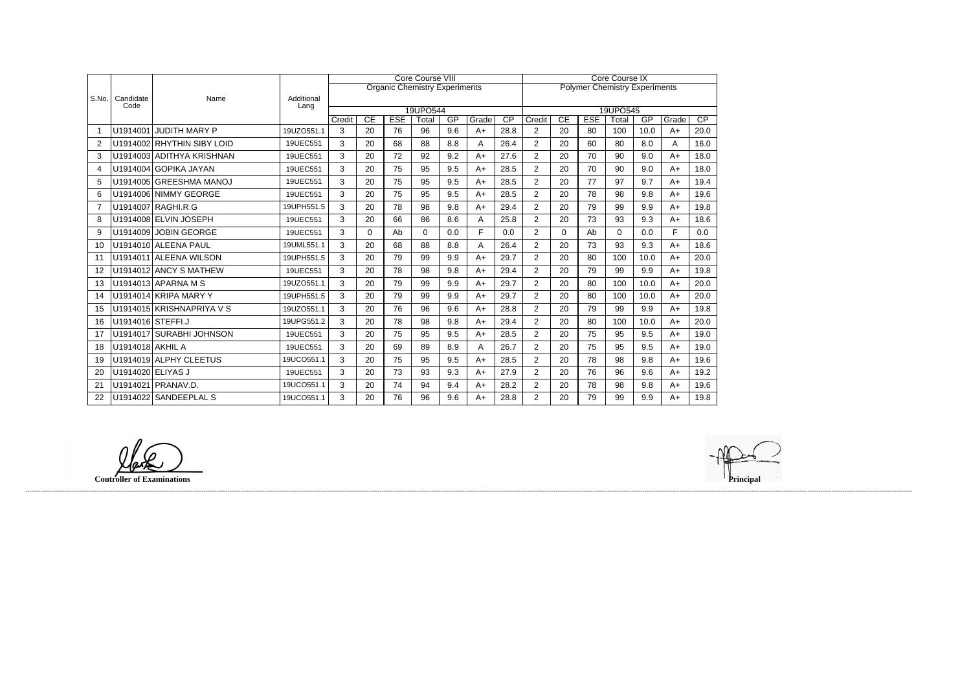|                       |                   | Name                       |                    | <b>Core Course VIII</b> |          |                                      |          |     |       |                                      |                | <b>Core Course IX</b> |            |          |      |       |      |  |  |
|-----------------------|-------------------|----------------------------|--------------------|-------------------------|----------|--------------------------------------|----------|-----|-------|--------------------------------------|----------------|-----------------------|------------|----------|------|-------|------|--|--|
| S.No.                 |                   |                            | Additional<br>Lang |                         |          | <b>Organic Chemistry Experiments</b> |          |     |       | <b>Polymer Chemistry Experiments</b> |                |                       |            |          |      |       |      |  |  |
|                       | Candidate<br>Code |                            |                    |                         |          |                                      |          |     |       |                                      |                |                       |            |          |      |       |      |  |  |
|                       |                   |                            |                    |                         |          |                                      | 19UPO544 |     |       |                                      | 19UPO545       |                       |            |          |      |       |      |  |  |
|                       |                   |                            |                    | Credit                  | CE       | <b>ESE</b>                           | Total    | GP  | Grade | $\overline{CP}$                      | Credit         | $\overline{CE}$       | <b>ESE</b> | Total    | GP   | Grade | CP   |  |  |
|                       |                   | U1914001 JUDITH MARY P     | 19UZO551.1         | 3                       | 20       | 76                                   | 96       | 9.6 | $A+$  | 28.8                                 | $\overline{2}$ | 20                    | 80         | 100      | 10.0 | $A+$  | 20.0 |  |  |
| $\overline{2}$        |                   | U1914002 RHYTHIN SIBY LOID | 19UEC551           | 3                       | 20       | 68                                   | 88       | 8.8 | Α     | 26.4                                 | $\overline{2}$ | 20                    | 60         | 80       | 8.0  | Α     | 16.0 |  |  |
| 3                     |                   | U1914003 ADITHYA KRISHNAN  | 19UEC551           | 3                       | 20       | 72                                   | 92       | 9.2 | $A+$  | 27.6                                 | $\overline{2}$ | 20                    | 70         | 90       | 9.0  | $A+$  | 18.0 |  |  |
| $\boldsymbol{\Delta}$ |                   | U1914004 GOPIKA JAYAN      | 19UEC551           | 3                       | 20       | 75                                   | 95       | 9.5 | $A+$  | 28.5                                 | 2              | 20                    | 70         | 90       | 9.0  | $A+$  | 18.0 |  |  |
| 5                     |                   | U1914005 GREESHMA MANOJ    | 19UEC551           | 3                       | 20       | 75                                   | 95       | 9.5 | $A+$  | 28.5                                 | $\overline{2}$ | 20                    | 77         | 97       | 9.7  | $A+$  | 19.4 |  |  |
| 6                     |                   | U1914006 NIMMY GEORGE      | 19UEC551           | 3                       | 20       | 75                                   | 95       | 9.5 | $A+$  | 28.5                                 | $\overline{2}$ | 20                    | 78         | 98       | 9.8  | $A+$  | 19.6 |  |  |
| 7                     |                   | U1914007 RAGHI.R.G         | 19UPH551.5         | 3                       | 20       | 78                                   | 98       | 9.8 | $A+$  | 29.4                                 | $\overline{2}$ | 20                    | 79         | 99       | 9.9  | $A+$  | 19.8 |  |  |
| 8                     |                   | U1914008 ELVIN JOSEPH      | 19UEC551           | 3                       | 20       | 66                                   | 86       | 8.6 | A     | 25.8                                 | $\overline{2}$ | 20                    | 73         | 93       | 9.3  | $A+$  | 18.6 |  |  |
| 9                     |                   | U1914009 JOBIN GEORGE      | 19UEC551           | 3                       | $\Omega$ | Ab                                   | $\Omega$ | 0.0 | F     | 0.0                                  | $\overline{2}$ | $\overline{0}$        | Ab         | $\Omega$ | 0.0  | E     | 0.0  |  |  |
| 10                    |                   | U1914010 ALEENA PAUL       | 19UML551.1         | 3                       | 20       | 68                                   | 88       | 8.8 | A     | 26.4                                 | $\overline{2}$ | 20                    | 73         | 93       | 9.3  | $A+$  | 18.6 |  |  |
| 11                    |                   | U1914011 ALEENA WILSON     | 19UPH551.5         | 3                       | 20       | 79                                   | 99       | 9.9 | $A+$  | 29.7                                 | $\overline{2}$ | 20                    | 80         | 100      | 10.0 | $A+$  | 20.0 |  |  |
| 12                    |                   | U1914012 ANCY S MATHEW     | 19UEC551           | 3                       | 20       | 78                                   | 98       | 9.8 | $A+$  | 29.4                                 | 2              | 20                    | 79         | 99       | 9.9  | $A+$  | 19.8 |  |  |
| 13                    |                   | U1914013 APARNA M S        | 19UZO551.1         | 3                       | 20       | 79                                   | 99       | 9.9 | $A+$  | 29.7                                 | $\overline{2}$ | 20                    | 80         | 100      | 10.0 | $A+$  | 20.0 |  |  |
| 14                    |                   | U1914014 KRIPA MARY Y      | 19UPH551.5         | 3                       | 20       | 79                                   | 99       | 9.9 | $A+$  | 29.7                                 | $\overline{2}$ | 20                    | 80         | 100      | 10.0 | $A+$  | 20.0 |  |  |
| 15                    |                   | U1914015 KRISHNAPRIYA V S  | 19UZO551.1         | 3                       | 20       | 76                                   | 96       | 9.6 | $A+$  | 28.8                                 | 2              | 20                    | 79         | 99       | 9.9  | $A+$  | 19.8 |  |  |
| 16                    | U1914016 STEFFI.J |                            | 19UPG551.2         | 3                       | 20       | 78                                   | 98       | 9.8 | A+    | 29.4                                 | 2              | 20                    | 80         | 100      | 10.0 | $A+$  | 20.0 |  |  |
| 17                    |                   | U1914017 SURABHI JOHNSON   | 19UEC551           | 3                       | 20       | 75                                   | 95       | 9.5 | $A+$  | 28.5                                 | $\overline{2}$ | 20                    | 75         | 95       | 9.5  | $A+$  | 19.0 |  |  |
| 18                    | U1914018 AKHIL A  |                            | 19UEC551           | 3                       | 20       | 69                                   | 89       | 8.9 | Α     | 26.7                                 | $\overline{2}$ | 20                    | 75         | 95       | 9.5  | $A+$  | 19.0 |  |  |
| 19                    |                   | U1914019 ALPHY CLEETUS     | 19UCO551.1         | 3                       | 20       | 75                                   | 95       | 9.5 | $A+$  | 28.5                                 | $\overline{2}$ | 20                    | 78         | 98       | 9.8  | $A+$  | 19.6 |  |  |
| 20                    | U1914020 ELIYAS J |                            | 19UEC551           | 3                       | 20       | 73                                   | 93       | 9.3 | A+    | 27.9                                 | 2              | 20                    | 76         | 96       | 9.6  | A+    | 19.2 |  |  |
| 21                    |                   | U1914021 PRANAV.D.         | 19UCO551.1         | 3                       | 20       | 74                                   | 94       | 9.4 | $A+$  | 28.2                                 | $\overline{2}$ | 20                    | 78         | 98       | 9.8  | $A+$  | 19.6 |  |  |
| 22                    |                   | U1914022 SANDEEPLAL S      | 19UCO551.1         | 3                       | 20       | 76                                   | 96       | 9.6 | $A+$  | 28.8                                 | 2              | 20                    | 79         | 99       | 9.9  | $A+$  | 19.8 |  |  |

**Controller of Examinations** 



------------------------------------------------------------------------------------------------------------------------------------------------------------------------------------------------------------------------------------------------------------------------------------------------------------------------------------------------------------------------------------------------------------------------